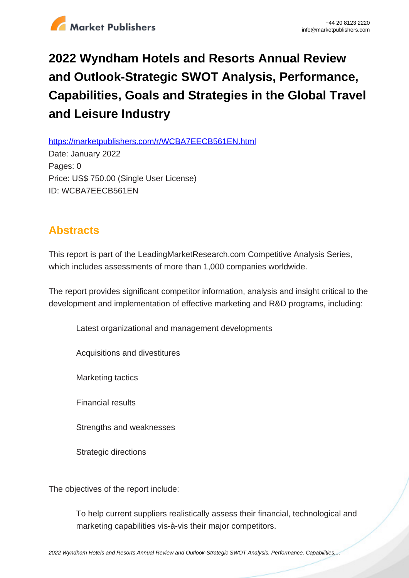

## **2022 Wyndham Hotels and Resorts Annual Review and Outlook-Strategic SWOT Analysis, Performance, Capabilities, Goals and Strategies in the Global Travel and Leisure Industry**

https://marketpublishers.com/r/WCBA7EECB561EN.html

Date: January 2022 Pages: 0 Price: US\$ 750.00 (Single User License) ID: WCBA7EECB561EN

## **Abstracts**

This report is part of the LeadingMarketResearch.com Competitive Analysis Series, which includes assessments of more than 1,000 companies worldwide.

The report provides significant competitor information, analysis and insight critical to the development and implementation of effective marketing and R&D programs, including:

Latest organizational and management developments

Acquisitions and divestitures

Marketing tactics

Financial results

Strengths and weaknesses

Strategic directions

The objectives of the report include:

To help current suppliers realistically assess their financial, technological and marketing capabilities vis-à-vis their major competitors.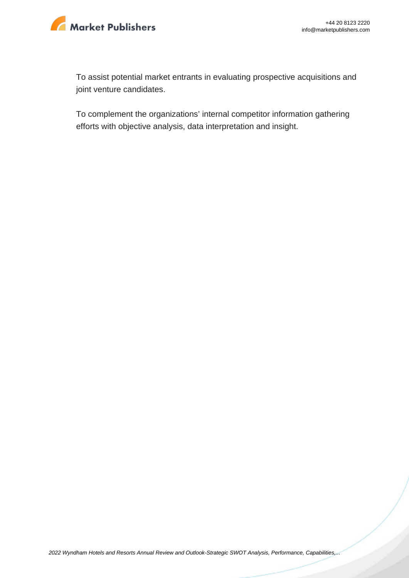

To assist potential market entrants in evaluating prospective acquisitions and joint venture candidates.

To complement the organizations' internal competitor information gathering efforts with objective analysis, data interpretation and insight.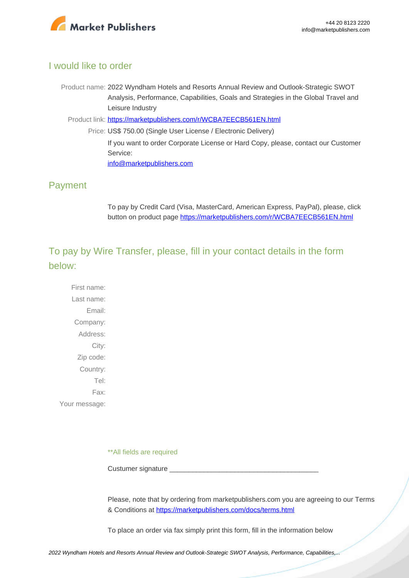

## I would like to order

Product name: 2022 Wyndham Hotels and Resorts Annual Review and Outlook-Strategic SWOT Analysis, Performance, Capabilities, Goals and Strategies in the Global Travel and Leisure Industry

Product link: [https://marketpublishers.com/r/WCBA7EECB561EN.html](https://marketpublishers.com/report/services/travel-leisure/wyndham-hotels-n-resorts-annual-review-n-outlook-strategic-swot-analysis-performance-capabilities-goals-n-strategies-in-global-travel-n-leisure.html)

Price: US\$ 750.00 (Single User License / Electronic Delivery) If you want to order Corporate License or Hard Copy, please, contact our Customer Service: [info@marketpublishers.com](mailto:info@marketpublishers.com)

## Payment

To pay by Credit Card (Visa, MasterCard, American Express, PayPal), please, click button on product page [https://marketpublishers.com/r/WCBA7EECB561EN.html](https://marketpublishers.com/report/services/travel-leisure/wyndham-hotels-n-resorts-annual-review-n-outlook-strategic-swot-analysis-performance-capabilities-goals-n-strategies-in-global-travel-n-leisure.html)

To pay by Wire Transfer, please, fill in your contact details in the form below:

First name: Last name: Email: Company: Address: City: Zip code: Country: Tel: Fax: Your message:

\*\*All fields are required

Custumer signature \_

Please, note that by ordering from marketpublishers.com you are agreeing to our Terms & Conditions at<https://marketpublishers.com/docs/terms.html>

To place an order via fax simply print this form, fill in the information below